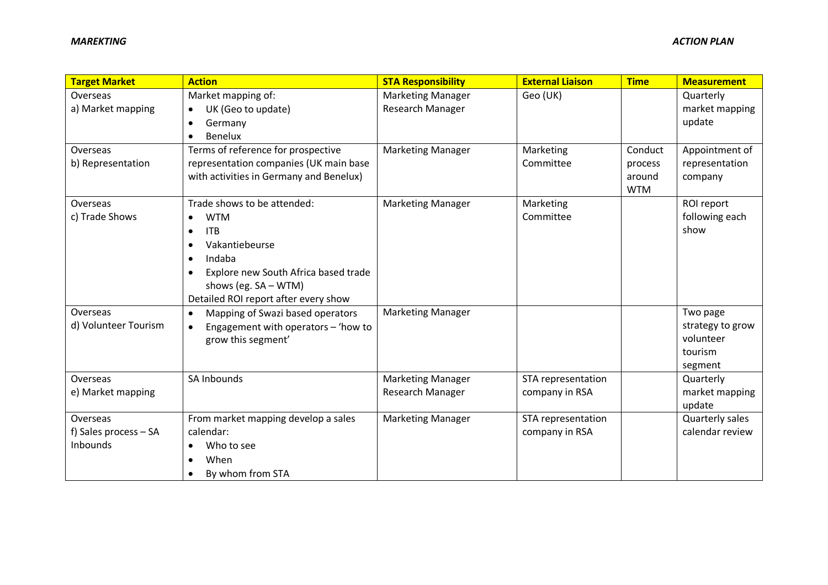| <b>Target Market</b>  | <b>Action</b>                                                             | <b>STA Responsibility</b> | <b>External Liaison</b> | <b>Time</b> | <b>Measurement</b>     |
|-----------------------|---------------------------------------------------------------------------|---------------------------|-------------------------|-------------|------------------------|
| Overseas              | Market mapping of:                                                        | <b>Marketing Manager</b>  | Geo (UK)                |             | Quarterly              |
| a) Market mapping     | UK (Geo to update)<br>$\bullet$                                           | Research Manager          |                         |             | market mapping         |
|                       | Germany<br>$\bullet$                                                      |                           |                         |             | update                 |
|                       | Benelux<br>$\bullet$                                                      |                           |                         |             |                        |
| Overseas              | Terms of reference for prospective                                        | <b>Marketing Manager</b>  | Marketing               | Conduct     | Appointment of         |
| b) Representation     | representation companies (UK main base                                    |                           | Committee               | process     | representation         |
|                       | with activities in Germany and Benelux)                                   |                           |                         | around      | company                |
|                       |                                                                           |                           |                         | <b>WTM</b>  |                        |
| Overseas              | Trade shows to be attended:                                               | <b>Marketing Manager</b>  | Marketing<br>Committee  |             | ROI report             |
| c) Trade Shows        | <b>WTM</b><br>$\bullet$                                                   |                           |                         |             | following each<br>show |
|                       | <b>ITB</b><br>$\bullet$                                                   |                           |                         |             |                        |
|                       | Vakantiebeurse<br>$\bullet$                                               |                           |                         |             |                        |
|                       | Indaba<br>$\bullet$                                                       |                           |                         |             |                        |
|                       | Explore new South Africa based trade<br>$\bullet$<br>shows (eg. SA - WTM) |                           |                         |             |                        |
|                       | Detailed ROI report after every show                                      |                           |                         |             |                        |
| Overseas              | Mapping of Swazi based operators<br>$\bullet$                             | <b>Marketing Manager</b>  |                         |             | Two page               |
| d) Volunteer Tourism  | Engagement with operators - 'how to                                       |                           |                         |             | strategy to grow       |
|                       | grow this segment'                                                        |                           |                         |             | volunteer              |
|                       |                                                                           |                           |                         |             | tourism                |
|                       |                                                                           |                           |                         |             | segment                |
| Overseas              | SA Inbounds                                                               | <b>Marketing Manager</b>  | STA representation      |             | Quarterly              |
| e) Market mapping     |                                                                           | Research Manager          | company in RSA          |             | market mapping         |
|                       |                                                                           |                           |                         |             | update                 |
| Overseas              | From market mapping develop a sales                                       | <b>Marketing Manager</b>  | STA representation      |             | Quarterly sales        |
| f) Sales process - SA | calendar:                                                                 |                           | company in RSA          |             | calendar review        |
| Inbounds              | Who to see                                                                |                           |                         |             |                        |
|                       | When<br>$\bullet$                                                         |                           |                         |             |                        |
|                       | By whom from STA                                                          |                           |                         |             |                        |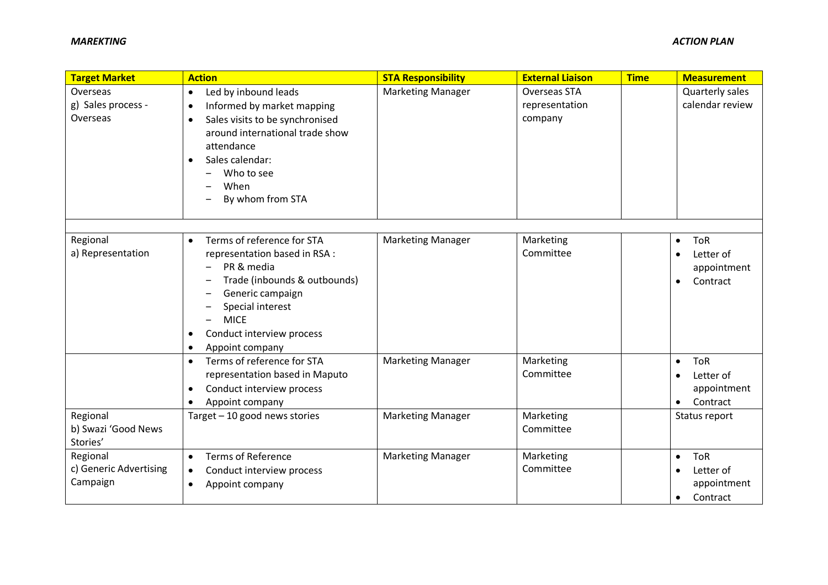| <b>Target Market</b>                        | <b>Action</b>                                                                                                                                                                                                                                                                     | <b>STA Responsibility</b>                            | <b>External Liaison</b>                          | <b>Time</b> | <b>Measurement</b>                                                                                         |
|---------------------------------------------|-----------------------------------------------------------------------------------------------------------------------------------------------------------------------------------------------------------------------------------------------------------------------------------|------------------------------------------------------|--------------------------------------------------|-------------|------------------------------------------------------------------------------------------------------------|
| Overseas<br>g) Sales process -<br>Overseas  | Led by inbound leads<br>$\bullet$<br>Informed by market mapping<br>$\bullet$<br>Sales visits to be synchronised<br>$\bullet$<br>around international trade show<br>attendance<br>Sales calendar:<br>$\bullet$<br>Who to see<br>When<br>By whom from STA                           | <b>Marketing Manager</b>                             | <b>Overseas STA</b><br>representation<br>company |             | Quarterly sales<br>calendar review                                                                         |
| Regional<br>a) Representation               | Terms of reference for STA<br>$\bullet$<br>representation based in RSA :<br>PR & media<br>$\qquad \qquad -$<br>Trade (inbounds & outbounds)<br>Generic campaign<br>—<br>Special interest<br><b>MICE</b><br>Conduct interview process<br>$\bullet$<br>Appoint company<br>$\bullet$ | <b>Marketing Manager</b>                             | Marketing<br>Committee                           |             | <b>ToR</b><br>$\bullet$<br>Letter of<br>$\bullet$<br>appointment<br>Contract<br>$\bullet$                  |
| Regional                                    | Terms of reference for STA<br>$\bullet$<br>representation based in Maputo<br>Conduct interview process<br>$\bullet$<br>Appoint company<br>Target - 10 good news stories                                                                                                           | <b>Marketing Manager</b><br><b>Marketing Manager</b> | Marketing<br>Committee<br>Marketing              |             | <b>ToR</b><br>$\bullet$<br>Letter of<br>$\bullet$<br>appointment<br>Contract<br>$\bullet$<br>Status report |
| b) Swazi 'Good News<br>Stories'<br>Regional | <b>Terms of Reference</b><br>$\bullet$                                                                                                                                                                                                                                            | <b>Marketing Manager</b>                             | Committee<br>Marketing                           |             | <b>ToR</b><br>$\bullet$                                                                                    |
| c) Generic Advertising<br>Campaign          | Conduct interview process<br>$\bullet$<br>Appoint company<br>$\bullet$                                                                                                                                                                                                            |                                                      | Committee                                        |             | Letter of<br>$\bullet$<br>appointment<br>Contract<br>$\bullet$                                             |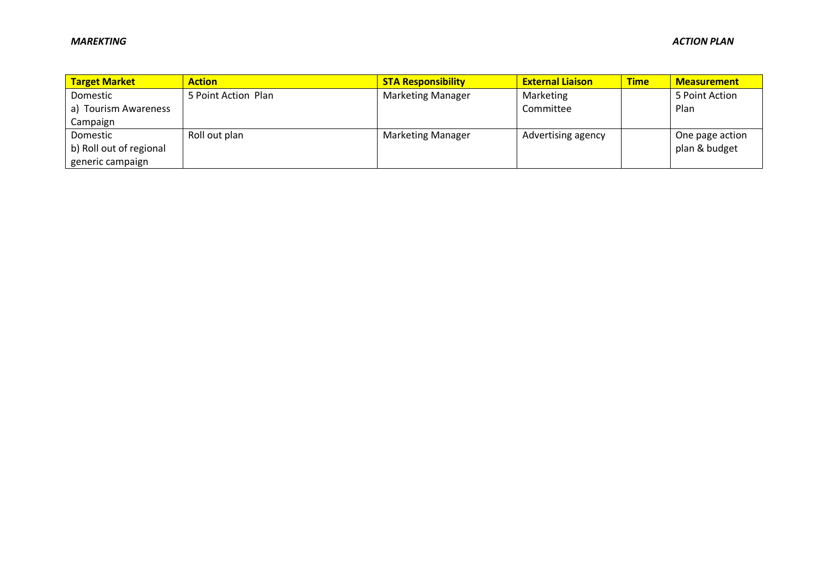| <b>Target Market</b>    | <b>Action</b>       | <b>STA Responsibility</b> | <b>External Liaison</b> | <b>Time</b> | <b>Measurement</b> |
|-------------------------|---------------------|---------------------------|-------------------------|-------------|--------------------|
| Domestic                | 5 Point Action Plan | <b>Marketing Manager</b>  | Marketing               |             | 5 Point Action     |
| a) Tourism Awareness    |                     |                           | Committee               |             | Plan               |
| Campaign                |                     |                           |                         |             |                    |
| Domestic                | Roll out plan       | <b>Marketing Manager</b>  | Advertising agency      |             | One page action    |
| b) Roll out of regional |                     |                           |                         |             | plan & budget      |
| generic campaign        |                     |                           |                         |             |                    |